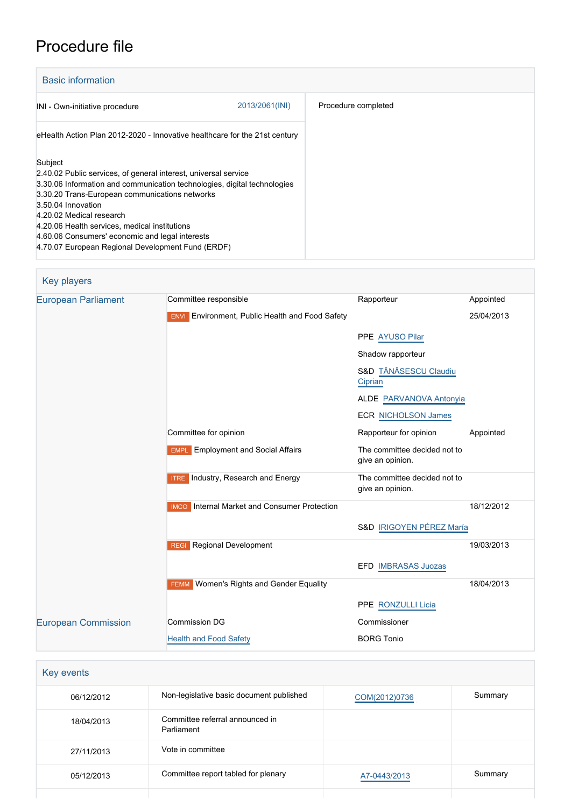# Procedure file

| <b>Basic information</b>                                                                                                                                                                                                                                                                                                                                                                                            |                |                     |
|---------------------------------------------------------------------------------------------------------------------------------------------------------------------------------------------------------------------------------------------------------------------------------------------------------------------------------------------------------------------------------------------------------------------|----------------|---------------------|
| INI - Own-initiative procedure                                                                                                                                                                                                                                                                                                                                                                                      | 2013/2061(INI) | Procedure completed |
| eHealth Action Plan 2012-2020 - Innovative healthcare for the 21st century                                                                                                                                                                                                                                                                                                                                          |                |                     |
| Subject<br>2.40.02 Public services, of general interest, universal service<br>3.30.06 Information and communication technologies, digital technologies<br>3.30.20 Trans-European communications networks<br>3.50.04 Innovation<br>4.20.02 Medical research<br>4.20.06 Health services, medical institutions<br>4.60.06 Consumers' economic and legal interests<br>4.70.07 European Regional Development Fund (ERDF) |                |                     |

| <b>Key players</b>         |                                                        |                                                  |            |
|----------------------------|--------------------------------------------------------|--------------------------------------------------|------------|
| <b>European Parliament</b> | Committee responsible                                  | Rapporteur                                       | Appointed  |
|                            | <b>ENVI</b> Environment, Public Health and Food Safety |                                                  | 25/04/2013 |
|                            |                                                        | PPE AYUSO Pilar                                  |            |
|                            |                                                        | Shadow rapporteur                                |            |
|                            |                                                        | S&D TĂNĂSESCU Claudiu<br>Ciprian                 |            |
|                            |                                                        | ALDE PARVANOVA Antonyia                          |            |
|                            |                                                        | <b>ECR NICHOLSON James</b>                       |            |
|                            | Committee for opinion                                  | Rapporteur for opinion                           | Appointed  |
|                            | <b>EMPL</b> Employment and Social Affairs              | The committee decided not to<br>give an opinion. |            |
|                            | <b>ITRE</b> Industry, Research and Energy              | The committee decided not to<br>give an opinion. |            |
|                            | <b>IMCO</b> Internal Market and Consumer Protection    |                                                  | 18/12/2012 |
|                            |                                                        | S&D IRIGOYEN PÉREZ María                         |            |
|                            | <b>REGI</b> Regional Development                       |                                                  | 19/03/2013 |
|                            |                                                        | EFD IMBRASAS Juozas                              |            |
|                            | <b>FEMM</b> Women's Rights and Gender Equality         |                                                  | 18/04/2013 |
|                            |                                                        | PPE RONZULLI Licia                               |            |
| <b>European Commission</b> | <b>Commission DG</b>                                   | Commissioner                                     |            |
|                            | <b>Health and Food Safety</b>                          | <b>BORG Tonio</b>                                |            |
|                            |                                                        |                                                  |            |

| Key events |                                               |               |         |
|------------|-----------------------------------------------|---------------|---------|
| 06/12/2012 | Non-legislative basic document published      | COM(2012)0736 | Summary |
| 18/04/2013 | Committee referral announced in<br>Parliament |               |         |
| 27/11/2013 | Vote in committee                             |               |         |
| 05/12/2013 | Committee report tabled for plenary           | A7-0443/2013  | Summary |
|            |                                               |               |         |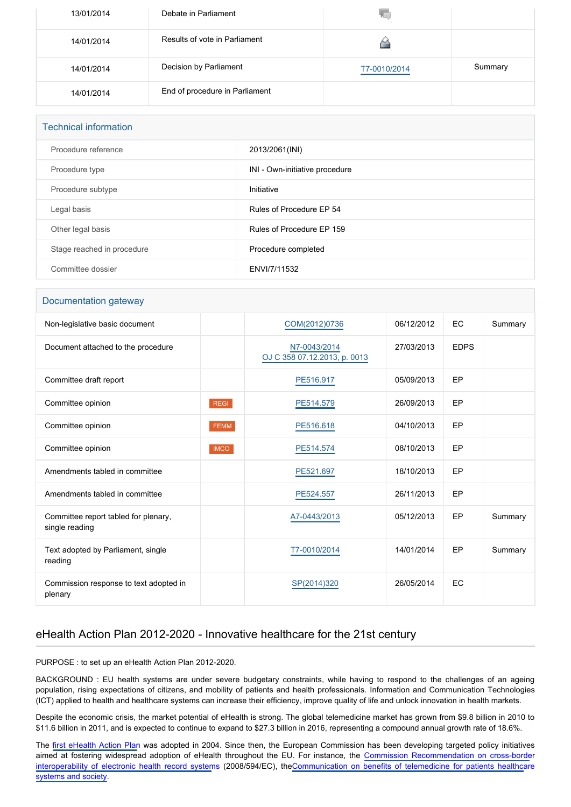| 13/01/2014 | Debate in Parliament           | 70.          |         |
|------------|--------------------------------|--------------|---------|
| 14/01/2014 | Results of vote in Parliament  |              |         |
| 14/01/2014 | Decision by Parliament         | T7-0010/2014 | Summary |
| 14/01/2014 | End of procedure in Parliament |              |         |

| <b>Technical information</b> |                                |  |  |
|------------------------------|--------------------------------|--|--|
| Procedure reference          | 2013/2061(INI)                 |  |  |
| Procedure type               | INI - Own-initiative procedure |  |  |
| Procedure subtype            | Initiative                     |  |  |
| Legal basis                  | Rules of Procedure EP 54       |  |  |
| Other legal basis            | Rules of Procedure EP 159      |  |  |
| Stage reached in procedure   | Procedure completed            |  |  |
| Committee dossier            | ENVI/7/11532                   |  |  |

#### Documentation gateway

| Non-legislative basic document                         |             | COM(2012)0736                                | 06/12/2012 | <b>EC</b>   | Summary |
|--------------------------------------------------------|-------------|----------------------------------------------|------------|-------------|---------|
| Document attached to the procedure                     |             | N7-0043/2014<br>OJ C 358 07.12.2013, p. 0013 | 27/03/2013 | <b>EDPS</b> |         |
| Committee draft report                                 |             | PE516.917                                    | 05/09/2013 | EP          |         |
| Committee opinion                                      | <b>REGI</b> | PE514.579                                    | 26/09/2013 | EP          |         |
| Committee opinion                                      | <b>FEMM</b> | PE516.618                                    | 04/10/2013 | EP          |         |
| Committee opinion                                      | <b>IMCO</b> | PE514.574                                    | 08/10/2013 | EP          |         |
| Amendments tabled in committee                         |             | PE521.697                                    | 18/10/2013 | EP          |         |
| Amendments tabled in committee                         |             | PE524.557                                    | 26/11/2013 | EP          |         |
| Committee report tabled for plenary,<br>single reading |             | A7-0443/2013                                 | 05/12/2013 | EP          | Summary |
| Text adopted by Parliament, single<br>reading          |             | T7-0010/2014                                 | 14/01/2014 | EP          | Summary |
| Commission response to text adopted in<br>plenary      |             | SP(2014)320                                  | 26/05/2014 | EC          |         |

## eHealth Action Plan 2012-2020 - Innovative healthcare for the 21st century

PURPOSE : to set up an eHealth Action Plan 2012-2020.

BACKGROUND : EU health systems are under severe budgetary constraints, while having to respond to the challenges of an ageing population, rising expectations of citizens, and mobility of patients and health professionals. Information and Communication Technologies (ICT) applied to health and healthcare systems can increase their efficiency, improve quality of life and unlock innovation in health markets.

Despite the economic crisis, the market potential of eHealth is strong. The global telemedicine market has grown from \$9.8 billion in 2010 to \$11.6 billion in 2011, and is expected to continue to expand to \$27.3 billion in 2016, representing a compound annual growth rate of 18.6%.

The [first eHealth Action Plan](http://eur-lex.europa.eu/LexUriServ/LexUriServ.do?uri=COM:2004:0356:FIN:EN:PDF) was adopted in 2004. Since then, the European Commission has been developing targeted policy initiatives aimed at fostering widespread adoption of eHealth throughout the EU. For instance, the [Commission Recommendation on cross-borde](http://eur-lex.europa.eu/LexUriServ/LexUriServ.do?uri=OJ:L:2008:190:0037:0043:EN:PDF)r [interoperability of electronic health record system](http://eur-lex.europa.eu/LexUriServ/LexUriServ.do?uri=OJ:L:2008:190:0037:0043:EN:PDF)s (2008/594/EC), the[Communication on benefits of telemedicine for patients healthca](http://eur-lex.europa.eu/LexUriServ/LexUriServ.do?uri=COM:2008:0689:FIN:EN:PDF)re [systems and society.](http://eur-lex.europa.eu/LexUriServ/LexUriServ.do?uri=COM:2008:0689:FIN:EN:PDF)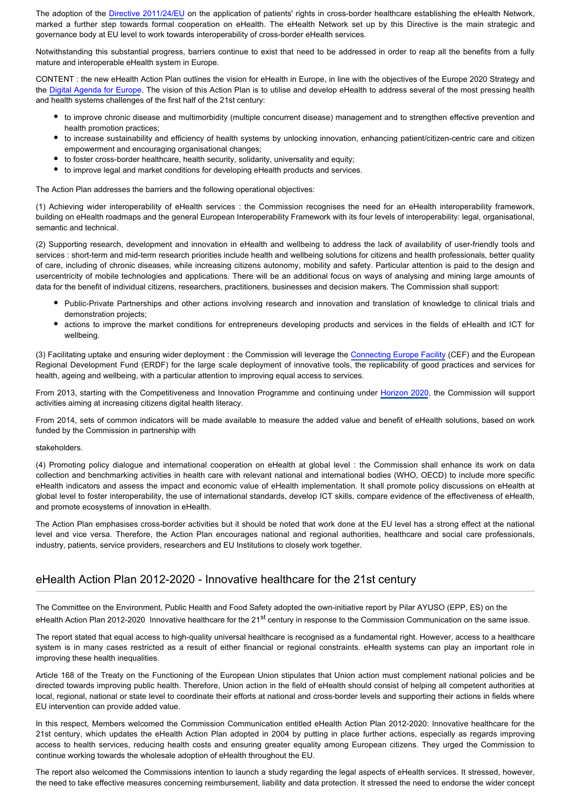The adoption of the [Directive 2011/24/EU](http://www.europarl.europa.eu/oeil/popups/ficheprocedure.do?lang=EN&procnum=COD/2008/0142) on the application of patients' rights in cross-border healthcare establishing the eHealth Network, marked a further step towards formal cooperation on eHealth. The eHealth Network set up by this Directive is the main strategic and governance body at EU level to work towards interoperability of cross-border eHealth services.

Notwithstanding this substantial progress, barriers continue to exist that need to be addressed in order to reap all the benefits from a fully mature and interoperable eHealth system in Europe.

CONTENT : the new eHealth Action Plan outlines the vision for eHealth in Europe, in line with the objectives of the Europe 2020 Strategy and the [Digital Agenda for Europe](http://eur-lex.europa.eu/LexUriServ/LexUriServ.do?uri=COM:2010:0245:FIN:EN:PDF). The vision of this Action Plan is to utilise and develop eHealth to address several of the most pressing health and health systems challenges of the first half of the 21st century:

- to improve chronic disease and multimorbidity (multiple concurrent disease) management and to strengthen effective prevention and health promotion practices;
- to increase sustainability and efficiency of health systems by unlocking innovation, enhancing patient/citizen-centric care and citizen empowerment and encouraging organisational changes;
- to foster cross-border healthcare, health security, solidarity, universality and equity;
- to improve legal and market conditions for developing eHealth products and services.

The Action Plan addresses the barriers and the following operational objectives:

(1) Achieving wider interoperability of eHealth services : the Commission recognises the need for an eHealth interoperability framework, building on eHealth roadmaps and the general European Interoperability Framework with its four levels of interoperability: legal, organisational, semantic and technical.

(2) Supporting research, development and innovation in eHealth and wellbeing to address the lack of availability of user-friendly tools and services : short-term and mid-term research priorities include health and wellbeing solutions for citizens and health professionals, better quality of care, including of chronic diseases, while increasing citizens autonomy, mobility and safety. Particular attention is paid to the design and usercentricity of mobile technologies and applications. There will be an additional focus on ways of analysing and mining large amounts of data for the benefit of individual citizens, researchers, practitioners, businesses and decision makers. The Commission shall support:

- Public-Private Partnerships and other actions involving research and innovation and translation of knowledge to clinical trials and demonstration projects;
- actions to improve the market conditions for entrepreneurs developing products and services in the fields of eHealth and ICT for wellbeing.

(3) Facilitating uptake and ensuring wider deployment : the Commission will leverage the [Connecting Europe Facility](http://www.europarl.europa.eu/oeil/popups/ficheprocedure.do?lang=EN&procnum=COD/2011/0302) (CEF) and the European Regional Development Fund (ERDF) for the large scale deployment of innovative tools, the replicability of good practices and services for health, ageing and wellbeing, with a particular attention to improving equal access to services.

From 2013, starting with the Competitiveness and Innovation Programme and continuing under [Horizon 2020](http://www.europarl.europa.eu/oeil/popups/ficheprocedure.do?lang=EN&procnum=COD/2011/0401), the Commission will support activities aiming at increasing citizens digital health literacy.

From 2014, sets of common indicators will be made available to measure the added value and benefit of eHealth solutions, based on work funded by the Commission in partnership with

#### stakeholders.

(4) Promoting policy dialogue and international cooperation on eHealth at global level : the Commission shall enhance its work on data collection and benchmarking activities in health care with relevant national and international bodies (WHO, OECD) to include more specific eHealth indicators and assess the impact and economic value of eHealth implementation. It shall promote policy discussions on eHealth at global level to foster interoperability, the use of international standards, develop ICT skills, compare evidence of the effectiveness of eHealth, and promote ecosystems of innovation in eHealth.

The Action Plan emphasises cross-border activities but it should be noted that work done at the EU level has a strong effect at the national level and vice versa. Therefore, the Action Plan encourages national and regional authorities, healthcare and social care professionals, industry, patients, service providers, researchers and EU Institutions to closely work together.

### eHealth Action Plan 2012-2020 - Innovative healthcare for the 21st century

The Committee on the Environment, Public Health and Food Safety adopted the own-initiative report by Pilar AYUSO (EPP, ES) on the eHealth Action Plan 2012-2020 Innovative healthcare for the 21<sup>st</sup> century in response to the Commission Communication on the same issue.

The report stated that equal access to high-quality universal healthcare is recognised as a fundamental right. However, access to a healthcare system is in many cases restricted as a result of either financial or regional constraints. eHealth systems can play an important role in improving these health inequalities.

Article 168 of the Treaty on the Functioning of the European Union stipulates that Union action must complement national policies and be directed towards improving public health. Therefore, Union action in the field of eHealth should consist of helping all competent authorities at local, regional, national or state level to coordinate their efforts at national and cross-border levels and supporting their actions in fields where EU intervention can provide added value.

In this respect, Members welcomed the Commission Communication entitled eHealth Action Plan 2012-2020: Innovative healthcare for the 21st century, which updates the eHealth Action Plan adopted in 2004 by putting in place further actions, especially as regards improving access to health services, reducing health costs and ensuring greater equality among European citizens. They urged the Commission to continue working towards the wholesale adoption of eHealth throughout the EU.

The report also welcomed the Commissions intention to launch a study regarding the legal aspects of eHealth services. It stressed, however, the need to take effective measures concerning reimbursement, liability and data protection. It stressed the need to endorse the wider concept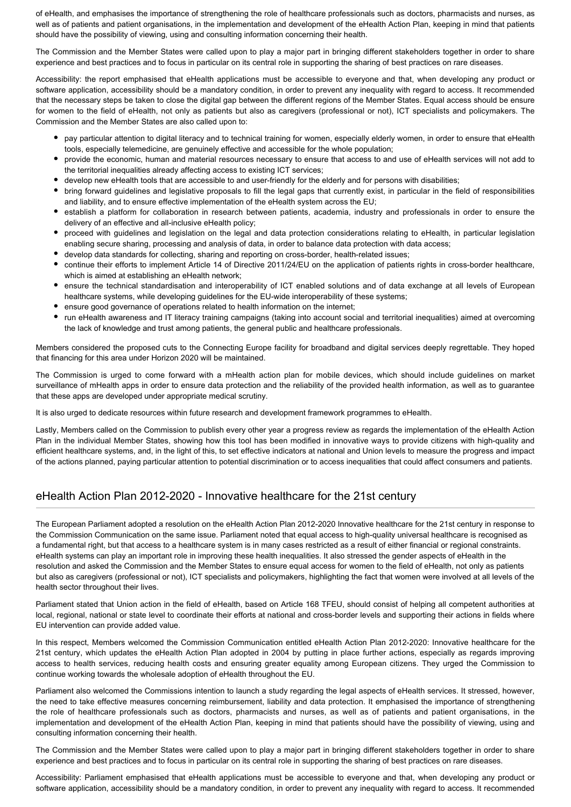of eHealth, and emphasises the importance of strengthening the role of healthcare professionals such as doctors, pharmacists and nurses, as well as of patients and patient organisations, in the implementation and development of the eHealth Action Plan, keeping in mind that patients should have the possibility of viewing, using and consulting information concerning their health.

The Commission and the Member States were called upon to play a major part in bringing different stakeholders together in order to share experience and best practices and to focus in particular on its central role in supporting the sharing of best practices on rare diseases.

Accessibility: the report emphasised that eHealth applications must be accessible to everyone and that, when developing any product or software application, accessibility should be a mandatory condition, in order to prevent any inequality with regard to access. It recommended that the necessary steps be taken to close the digital gap between the different regions of the Member States. Equal access should be ensure for women to the field of eHealth, not only as patients but also as caregivers (professional or not), ICT specialists and policymakers. The Commission and the Member States are also called upon to:

- pay particular attention to digital literacy and to technical training for women, especially elderly women, in order to ensure that eHealth tools, especially telemedicine, are genuinely effective and accessible for the whole population;
- provide the economic, human and material resources necessary to ensure that access to and use of eHealth services will not add to the territorial inequalities already affecting access to existing ICT services;
- develop new eHealth tools that are accessible to and user-friendly for the elderly and for persons with disabilities;
- bring forward guidelines and legislative proposals to fill the legal gaps that currently exist, in particular in the field of responsibilities and liability, and to ensure effective implementation of the eHealth system across the EU;
- establish a platform for collaboration in research between patients, academia, industry and professionals in order to ensure the delivery of an effective and all-inclusive eHealth policy;
- proceed with guidelines and legislation on the legal and data protection considerations relating to eHealth, in particular legislation enabling secure sharing, processing and analysis of data, in order to balance data protection with data access;
- develop data standards for collecting, sharing and reporting on cross-border, health-related issues;
- continue their efforts to implement Article 14 of Directive 2011/24/EU on the application of patients rights in cross-border healthcare, which is aimed at establishing an eHealth network;
- ensure the technical standardisation and interoperability of ICT enabled solutions and of data exchange at all levels of European healthcare systems, while developing guidelines for the EU-wide interoperability of these systems;
- ensure good governance of operations related to health information on the internet;
- run eHealth awareness and IT literacy training campaigns (taking into account social and territorial inequalities) aimed at overcoming the lack of knowledge and trust among patients, the general public and healthcare professionals.

Members considered the proposed cuts to the Connecting Europe facility for broadband and digital services deeply regrettable. They hoped that financing for this area under Horizon 2020 will be maintained.

The Commission is urged to come forward with a mHealth action plan for mobile devices, which should include guidelines on market surveillance of mHealth apps in order to ensure data protection and the reliability of the provided health information, as well as to guarantee that these apps are developed under appropriate medical scrutiny.

It is also urged to dedicate resources within future research and development framework programmes to eHealth.

Lastly, Members called on the Commission to publish every other year a progress review as regards the implementation of the eHealth Action Plan in the individual Member States, showing how this tool has been modified in innovative ways to provide citizens with high-quality and efficient healthcare systems, and, in the light of this, to set effective indicators at national and Union levels to measure the progress and impact of the actions planned, paying particular attention to potential discrimination or to access inequalities that could affect consumers and patients.

## eHealth Action Plan 2012-2020 - Innovative healthcare for the 21st century

The European Parliament adopted a resolution on the eHealth Action Plan 2012-2020 Innovative healthcare for the 21st century in response to the Commission Communication on the same issue. Parliament noted that equal access to high-quality universal healthcare is recognised as a fundamental right, but that access to a healthcare system is in many cases restricted as a result of either financial or regional constraints. eHealth systems can play an important role in improving these health inequalities. It also stressed the gender aspects of eHealth in the resolution and asked the Commission and the Member States to ensure equal access for women to the field of eHealth, not only as patients but also as caregivers (professional or not), ICT specialists and policymakers, highlighting the fact that women were involved at all levels of the health sector throughout their lives.

Parliament stated that Union action in the field of eHealth, based on Article 168 TFEU, should consist of helping all competent authorities at local, regional, national or state level to coordinate their efforts at national and cross-border levels and supporting their actions in fields where EU intervention can provide added value.

In this respect, Members welcomed the Commission Communication entitled eHealth Action Plan 2012-2020: Innovative healthcare for the 21st century, which updates the eHealth Action Plan adopted in 2004 by putting in place further actions, especially as regards improving access to health services, reducing health costs and ensuring greater equality among European citizens. They urged the Commission to continue working towards the wholesale adoption of eHealth throughout the EU.

Parliament also welcomed the Commissions intention to launch a study regarding the legal aspects of eHealth services. It stressed, however, the need to take effective measures concerning reimbursement, liability and data protection. It emphasised the importance of strengthening the role of healthcare professionals such as doctors, pharmacists and nurses, as well as of patients and patient organisations, in the implementation and development of the eHealth Action Plan, keeping in mind that patients should have the possibility of viewing, using and consulting information concerning their health.

The Commission and the Member States were called upon to play a major part in bringing different stakeholders together in order to share experience and best practices and to focus in particular on its central role in supporting the sharing of best practices on rare diseases.

Accessibility: Parliament emphasised that eHealth applications must be accessible to everyone and that, when developing any product or software application, accessibility should be a mandatory condition, in order to prevent any inequality with regard to access. It recommended